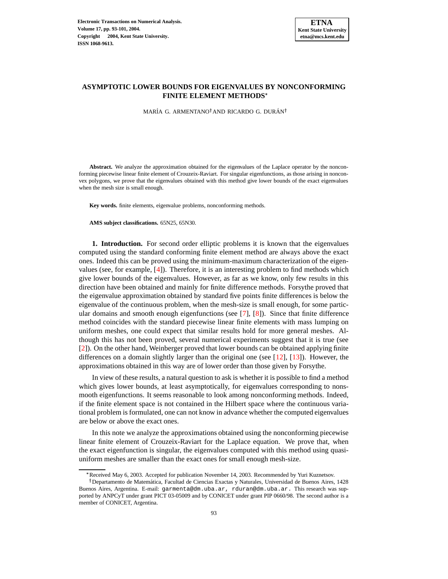

# **ASYMPTOTIC LOWER BOUNDS FOR EIGENVALUES BY NONCONFORMING FINITE ELEMENT METHODS**

MARÍA G. ARMENTANO<sup>†</sup> AND RICARDO G. DURÁN<sup>†</sup>

**Abstract.** We analyze the approximation obtained for the eigenvalues of the Laplace operator by the nonconforming piecewise linear finite element of Crouzeix-Raviart. For singular eigenfunctions, as those arising in nonconvex polygons, we prove that the eigenvalues obtained with this method give lower bounds of the exact eigenvalues when the mesh size is small enough.

**Key words.** finite elements, eigenvalue problems, nonconforming methods.

**AMS subject classifications.** 65N25, 65N30.

**1. Introduction.** For second order elliptic problems it is known that the eigenvalues computed using the standard conforming finite element method are always above the exact ones. Indeed this can be proved using the minimum-maximum characterization of the eigenvalues (see, for example, [\[4\]](#page-7-0)). Therefore, it is an interesting problem to find methods which give lower bounds of the eigenvalues. However, as far as we know, only few results in this direction have been obtained and mainly for finite difference methods. Forsythe proved that the eigenvalue approximation obtained by standard five points finite differences is below the eigenvalue of the continuous problem, when the mesh-size is small enough, for some particular domains and smooth enough eigenfunctions (see [\[7\]](#page-7-1), [\[8\]](#page-7-2)). Since that finite difference method coincides with the standard piecewise linear finite elements with mass lumping on uniform meshes, one could expect that similar results hold for more general meshes. Although this has not been proved, several numerical experiments suggest that it is true (see [\[2\]](#page-7-3)). On the other hand, Weinberger proved that lower bounds can be obtained applying finite differences on a domain slightly larger than the original one (see [\[12\]](#page-8-0), [\[13\]](#page-8-1)). However, the approximations obtained in this way are of lower order than those given by Forsythe.

In view of these results, a natural question to ask is whether it is possible to find a method which gives lower bounds, at least asymptotically, for eigenvalues corresponding to nonsmooth eigenfunctions. It seems reasonable to look among nonconforming methods. Indeed, if the finite element space is not contained in the Hilbert space where the continuous variational problem is formulated, one can not know in advance whether the computed eigenvalues are below or above the exact ones.

In this note we analyze the approximations obtained using the nonconforming piecewise linear finite element of Crouzeix-Raviart for the Laplace equation. We prove that, when the exact eigenfunction is singular, the eigenvalues computed with this method using quasiuniform meshes are smaller than the exact ones for small enough mesh-size.

Received May 6, 2003. Accepted for publication November 14, 2003. Recommended by Yuri Kuznetsov.

<sup>&</sup>lt;sup>†</sup> Departamento de Matemática, Facultad de Ciencias Exactas y Naturales, Universidad de Buenos Aires, 1428 Buenos Aires, Argentina. E-mail: garmenta@dm.uba.ar, rduran@dm.uba.ar. This research was supported by ANPCyT under grant PICT 03-05009 and by CONICET under grant PIP 0660/98. The second author is a member of CONICET, Argentina.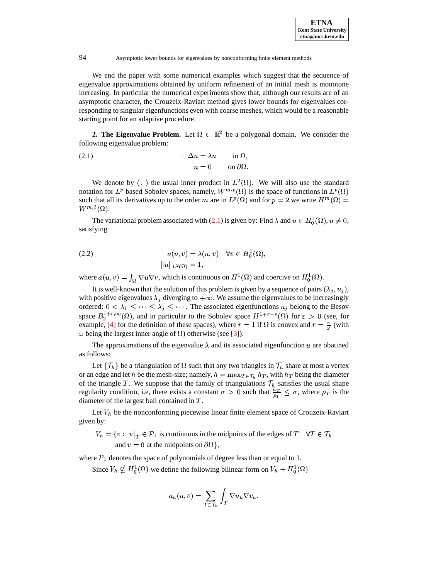We end the paper with some numerical examples which suggest that the sequence of eigenvalue approximations obtained by uniform refinement of an initial mesh is monotone increasing. In particular the numerical experiments show that, although our results are of an asymptotic character, the Crouzeix-Raviart method gives lower bounds for eigenvalues corresponding to singular eigenfunctions even with coarse meshes, which would be a reasonable starting point for an adaptive procedure.

**2. The Eigenvalue Problem.** Let  $\Omega \subset \mathbb{R}^2$  be a polygonal domain. We consider the following eigenvalue problem:

<span id="page-1-0"></span>(2.1) 
$$
-\Delta u = \lambda u \quad \text{in } \Omega,
$$

$$
u = 0 \quad \text{on } \partial \Omega.
$$

We denote by  $($ ,  $)$  the usual inner product in  $L^2(\Omega)$ . We will also use the standard notation for  $L^p$  based Sobolev spaces, namely,  $W^{m,p}(\Omega)$  is the space of functions in  $L^p(\Omega)$ such that all its derivatives up to the order m are in  $L^p(\Omega)$  and for  $p = 2$  we write  $H^m(\Omega) =$  $W^{m,2}(\Omega)$ .

The variational problem associated with [\(2.1\)](#page-1-0) is given by: Find  $\lambda$  and  $u \in H_0^1(\Omega)$ ,  $u \neq 0$ , satisfying

<span id="page-1-1"></span>(2.2) 
$$
a(u, v) = \lambda(u, v) \quad \forall v \in H_0^1(\Omega),
$$

$$
||u||_{L^2(\Omega)} = 1,
$$

where  $a(u, v) = \int_{\Omega} \nabla u \nabla v$ , which is continuous on  $H^1(\Omega)$  and coercive on  $H_0^1(\Omega)$ .

It is well-known that the solution of this problem is given by a sequence of pairs  $(\lambda_j, u_j)$ , with positive eigenvalues  $\lambda_i$  diverging to  $+\infty$ . We assume the eigenvalues to be increasingly ordered:  $0 < \lambda_1 \leq \cdots \leq \lambda_j \leq \cdots$ . The associated eigenfunctions  $u_j$  belong to the Besov space  $B_2^{1+r,\infty}(\Omega)$ , and in particular to the Sobolev space  $H^{1+r-\varepsilon}(\Omega)$  for  $\varepsilon > 0$  (see, for example, [\[4\]](#page-7-0) for the definition of these spaces), where  $r = 1$  if  $\Omega$  is convex and  $r = \frac{\pi}{\Omega}$  (with  $\omega$  being the largest inner angle of  $\Omega$ ) otherwise (see [\[3\]](#page-7-4)).

The approximations of the eigenvalue  $\lambda$  and its associated eigenfunction u are obatined as follows:

Let  $\{\mathcal{T}_h\}$  be a triangulation of  $\Omega$  such that any two triangles in  $\mathcal{T}_h$  share at most a vertex or an edge and let h be the mesh-size; namely,  $h = \max_{T \in \mathcal{T}_h} h_T$ , with  $h_T$  being the diameter of the triangle T. We suppose that the family of triangulations  $\mathcal{T}_h$  satisfies the usual shape regularity condition, i.e, there exists a constant  $\sigma > 0$  such that  $\frac{h_T}{\sigma} \leq \sigma$ , where  $\rho_T$  is the diameter of the largest ball contained in  $T$ .

Let  $V_h$  be the nonconforming piecewise linear finite element space of Crouzeix-Raviart given by:

 $V_h = \{v : v|_T \in \mathcal{P}_1 \text{ is continuous in the midpoints of the edges of } T \quad \forall T \in \mathcal{T}_h \}$ and  $v = 0$  at the midpoints on  $\partial\Omega$ ,

where  $P_1$  denotes the space of polynomials of degree less than or equal to 1.

Since  $V_h \nsubseteq H_0^1(\Omega)$  we define the following bilinear form on  $V_h + H_0^1(\Omega)$ 

$$
a_h(u,v) = \sum_{T \in \mathcal{T}_h} \int_T \nabla u_h \nabla v_h.
$$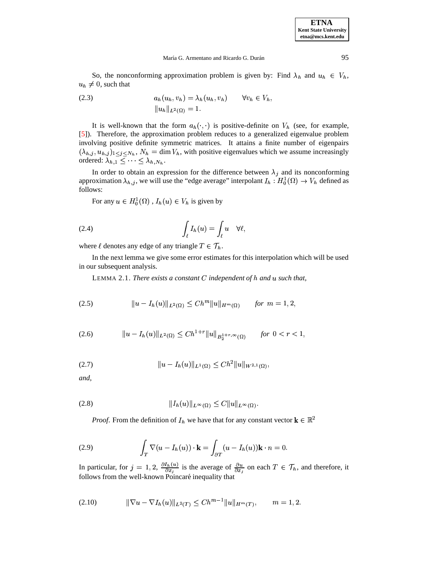### María G. Armentano and Ricardo G. Durán

So, the nonconforming approximation problem is given by: Find  $\lambda_h$  and  $u_h \in V_h$ ,  $u_h \neq 0$ , such that

<span id="page-2-7"></span>(2.3) 
$$
a_h(u_h, v_h) = \lambda_h(u_h, v_h) \qquad \forall v_h \in V_h,
$$

$$
||u_h||_{L^2(\Omega)} = 1.
$$

It is well-known that the form  $a_h(\cdot, \cdot)$  is positive-definite on  $V_h$  (see, for example, [\[5\]](#page-7-5)). Therefore, the approximation problem reduces to a generalized eigenvalue problem involving positive definite symmetric matrices. It attains a finite number of eigenpairs  $(\lambda_{h,j}, u_{h,j})_{1 \leq j \leq N_h}$ ,  $N_h = \dim V_h$ , with positive eigenvalues which we assume increasingly ordered:  $\lambda_{h,1} \leq \cdots \leq \lambda_{h,N_h}$ .

In order to obtain an expression for the difference between  $\lambda_j$  and its nonconforming approximation  $\lambda_{h,j}$ , we will use the "edge average" interpolant  $I_h: H_0^1(\Omega) \to V_h$  defined as follows:

For any  $u \in H_0^1(\Omega)$ ,  $I_h(u) \in V_h$  is given by

<span id="page-2-5"></span>(2.4) 
$$
\int_{\ell} I_h(u) = \int_{\ell} u \quad \forall \ell,
$$

where  $\ell$  denotes any edge of any triangle  $T \in \mathcal{T}_h$ .

<span id="page-2-1"></span>In the next lemma we give some error estimates for this interpolation which will be used in our subsequent analysis.

LEMMA 2.1. *There exists a constant* C independent of h and u such that,

<span id="page-2-2"></span>(2.5) 
$$
||u - I_h(u)||_{L^2(\Omega)} \leq C h^m ||u||_{H^m(\Omega)} \quad \text{for } m = 1, 2,
$$

$$
(2.6) \t\t ||u - I_h(u)||_{L^2(\Omega)} \le Ch^{1+r} ||u||_{B_2^{1+r,\infty}(\Omega)} \t \text{for } 0 < r < 1,
$$

<span id="page-2-3"></span>(2.7) <sup>&</sup>gt; <sup>m</sup> >@? <sup>T</sup> Qp 

<span id="page-2-4"></span>*and,*

<span id="page-2-6"></span>
$$
||I_h(u)||_{L^{\infty}(\Omega)} \leq C||u||_{L^{\infty}(\Omega)}.
$$

*Proof.* From the definition of  $I_h$  we have that for any constant vector  $\mathbf{k} \in \mathbb{R}^2$ 

(2.9) 
$$
\int_T \nabla(u - I_h(u)) \cdot \mathbf{k} = \int_{\partial T} (u - I_h(u)) \mathbf{k} \cdot n = 0.
$$

<span id="page-2-0"></span>In particular, for  $j = 1, 2, \frac{\partial I_h(u)}{\partial x}$  is t  $\frac{I_h(u)}{I_h}$  is the average of  $\frac{\partial u}{\partial x}$  on each  $T \in \mathcal{T}_h$ , and therefore, it follows from the well-known Poincaré inequality that

$$
(2.10) \t\t ||\nabla u - \nabla I_h(u)||_{L^2(T)} \leq Ch^{m-1} ||u||_{H^m(T)}, \t m = 1, 2.
$$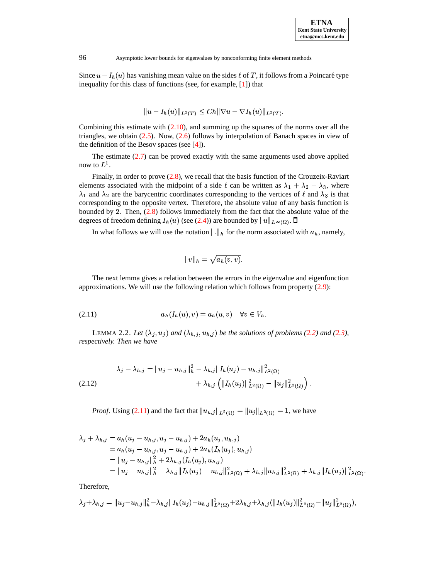Since  $u - I_h(u)$  has vanishing mean value on the sides  $\ell$  of T, it follows from a Poincaré type inequality for this class of functions (see, for example, [\[1\]](#page-7-6)) that

$$
||u - I_h(u)||_{L^2(T)} \leq C h||\nabla u - \nabla I_h(u)||_{L^2(T)}.
$$

Combining this estimate with  $(2.10)$ , and summing up the squares of the norms over all the triangles, we obtain  $(2.5)$ . Now,  $(2.6)$  follows by interpolation of Banach spaces in view of the definition of the Besov spaces (see [\[4\]](#page-7-0)).

The estimate [\(2.7\)](#page-2-3) can be proved exactly with the same arguments used above applied now to  $L^1$ .

Finally, in order to prove  $(2.8)$ , we recall that the basis function of the Crouzeix-Raviart elements associated with the midpoint of a side  $\ell$  can be written as  $\lambda_1 + \lambda_2 - \lambda_3$ , where  $\lambda_1$  and  $\lambda_2$  are the barycentric coordinates corresponding to the vertices of  $\ell$  and  $\lambda_3$  is that corresponding to the opposite vertex. Therefore, the absolute value of any basis function is bounded by 2. Then,  $(2.8)$  follows immediately from the fact that the absolute value of the bounded by 2. Then, (2.8) follows immediately from the fact that the absolute v<br>degrees of freedom defining  $I_h(u)$  (see [\(2.4\)](#page-2-5)) are bounded by  $||u||_{L^{\infty}(\Omega)}$ .  $\square$ 

In what follows we will use the notation  $\|\cdot\|_h$  for the norm associated with  $a_h$ , namely,

$$
||v||_h = \sqrt{a_h(v,v)}.
$$

<span id="page-3-0"></span>The next lemma gives a relation between the errors in the eigenvalue and eigenfunction approximations. We will use the following relation which follows from property  $(2.9)$ :

<span id="page-3-2"></span>
$$
(2.11) \t\t ah(Ih(u), v) = ah(u, v) \quad \forall v \in Vh.
$$

LEMMA 2.2. Let  $(\lambda_j, u_j)$  and  $(\lambda_{h,j}, u_{h,j})$  be the solutions of problems [\(2.2\)](#page-1-1) and [\(2.3\)](#page-2-7), *respectively. Then we have*

<span id="page-3-1"></span>
$$
\lambda_j - \lambda_{h,j} = \|u_j - u_{h,j}\|_h^2 - \lambda_{h,j} \|I_h(u_j) - u_{h,j}\|_{L^2(\Omega)}^2 + \lambda_{h,j} \left( \|I_h(u_j)\|_{L^2(\Omega)}^2 - \|u_j\|_{L^2(\Omega)}^2 \right).
$$
\n(2.12)

*Proof.* Using [\(2.11\)](#page-3-0) and the fact that  $||u_{h,j}||_{L^2(\Omega)} = ||u_j||_{L^2(\Omega)} = 1$ , we have

$$
\lambda_j + \lambda_{h,j} = a_h(u_j - u_{h,j}, u_j - u_{h,j}) + 2a_h(u_j, u_{h,j})
$$
  
=  $a_h(u_j - u_{h,j}, u_j - u_{h,j}) + 2a_h(I_h(u_j), u_{h,j})$   
=  $||u_j - u_{h,j}||_h^2 + 2\lambda_{h,j}(I_h(u_j), u_{h,j})$   
=  $||u_j - u_{h,j}||_h^2 - \lambda_{h,j}||I_h(u_j) - u_{h,j}||_{L^2(\Omega)}^2 + \lambda_{h,j}||I_h(u_j)||_{L^2(\Omega)}^2$ .

Therefore,

$$
\lambda_j + \lambda_{h,j} = \|u_j - u_{h,j}\|_h^2 - \lambda_{h,j} \|I_h(u_j) - u_{h,j}\|_{L^2(\Omega)}^2 + 2\lambda_{h,j} + \lambda_{h,j} (\|I_h(u_j)\|_{L^2(\Omega)}^2 - \|u_j\|_{L^2(\Omega)}^2),
$$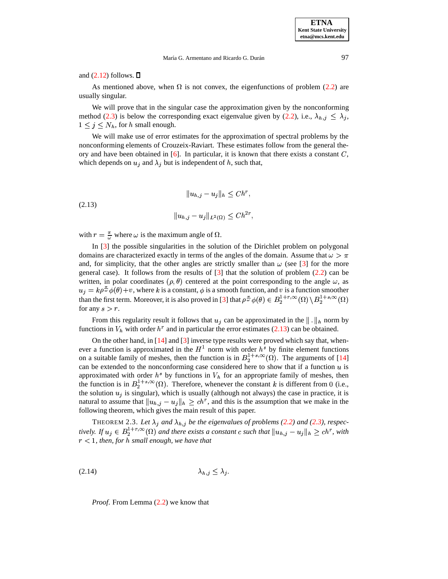## and  $(2.12)$  follows.  $\Box$

As mentioned above, when  $\Omega$  is not convex, the eigenfunctions of problem [\(2.2\)](#page-1-1) are usually singular.

We will prove that in the singular case the approximation given by the nonconforming method [\(2.3\)](#page-2-7) is below the corresponding exact eigenvalue given by [\(2.2\)](#page-1-1), i.e.,  $\lambda_{h,j} \leq \lambda_j$ ,  $1 \leq j \leq N_h$ , for h small enough.

We will make use of error estimates for the approximation of spectral problems by the nonconforming elements of Crouzeix-Raviart. These estimates follow from the general theory and have been obtained in  $[6]$ . In particular, it is known that there exists a constant  $C$ , which depends on  $u_j$  and  $\lambda_j$  but is independent of h, such that,

<span id="page-4-0"></span>(2.13) 
$$
||u_{h,j} - u_j||_h \leq Ch^r,
$$

$$
||u_{h,j} - u_j||_{L^2(\Omega)} \leq Ch^{2r},
$$

with  $r = \frac{\pi}{\omega}$  where  $\omega$  is the maximum angle of  $\Omega$ .

In [\[3\]](#page-7-4) the possible singularities in the solution of the Dirichlet problem on polygonal domains are characterized exactly in terms of the angles of the domain. Assume that  $\omega > \pi$ and, for simplicity, that the other angles are strictly smaller than  $\omega$  (see [\[3\]](#page-7-4) for the more general case). It follows from the results of  $[3]$  that the solution of problem  $(2.2)$  can be written, in polar coordinates  $(\rho, \theta)$  centered at the point corresponding to the angle  $\omega$ , as  $u_j = k \rho \bar{v} \phi(\theta) + v$ , where k is a constant,  $\phi$  is a smooth function, and v is a function smoother than the first term. Moreover, it is also proved in [\[3\]](#page-7-4) that  $\rho \phi(\theta) \in B_2^{1+r,\infty}(\Omega) \setminus B_2^{1+s,\infty}(\Omega)$ for any  $s > r$ .

From this regularity result it follows that  $u_j$  can be approximated in the  $\|\cdot\|_h$  norm by functions in  $V_h$  with order  $h^r$  and in particular the error estimates [\(2.13\)](#page-4-0) can be obtained.

On the other hand, in  $[14]$  and  $[3]$  inverse type results were proved which say that, whenever a function is approximated in the  $H<sup>1</sup>$  norm with order  $h<sup>s</sup>$  by finite element functions on a suitable family of meshes, then the function is in  $B_2^{1+s,\infty}(\Omega)$ . The arguments of [\[14\]](#page-8-2) can be extended to the nonconforming case considered here to show that if a function  $u$  is approximated with order  $h^s$  by functions in  $V_h$  for an appropriate family of meshes, then the function is in  $B_2^{1+s,\infty}(\Omega)$ . Therefore, whenever the constant k is different from 0 (i.e., the solution  $u_j$  is singular), which is usually (although not always) the case in practice, it is the solution  $u_j$  is singular), which is usually (although not always) the case in practice, it is<br>natural to assume that  $||u_{h,j} - u_j||_h \ge ch^r$ , and this is the assumption that we make in the following theorem, which gives the main result of this paper.

<span id="page-4-1"></span>THEOREM 2.3. Let  $\lambda_j$  and  $\lambda_{h,j}$  be the eigenvalues of problems [\(2.2\)](#page-1-1) and [\(2.3\)](#page-2-7), respec*tively.* If  $u_j \in B_2^{1+r,\infty}(\Omega)$  and there exists a constant c such that  $||u_{h,j} - u_j||_h \ge ch^r$ , with  $r < 1$ , then, for  $h$  small enough, we have that

$$
\lambda_{h,j} \leq \lambda_j.
$$

*Proof.* From Lemma [\(2.2\)](#page-3-2) we know that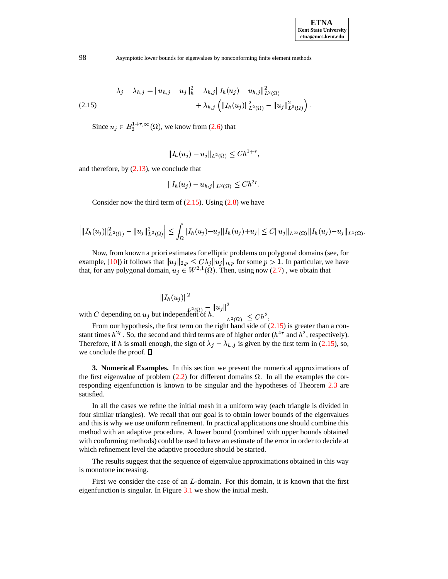<span id="page-5-0"></span>
$$
\lambda_j - \lambda_{h,j} = \|u_{h,j} - u_j\|_h^2 - \lambda_{h,j} \|I_h(u_j) - u_{h,j}\|_{L^2(\Omega)}^2 + \lambda_{h,j} \left( \|I_h(u_j)\|_{L^2(\Omega)}^2 - \|u_j\|_{L^2(\Omega)}^2 \right).
$$
\n(2.15)

Since  $u_j \in B_2^{1+r,\infty}(\Omega)$ , we know from [\(2.6\)](#page-2-2) that

$$
||I_h(u_j) - u_j||_{L^2(\Omega)} \leq C h^{1+r},
$$

and therefore, by  $(2.13)$ , we conclude that

$$
||I_h(u_j) - u_{h,j}||_{L^2(\Omega)} \leq C h^{2r}.
$$

Consider now the third term of  $(2.15)$ . Using  $(2.8)$  we have

$$
\Big|\|I_h(u_j)\|_{L^2(\Omega)}^2-\|u_j\|_{L^2(\Omega)}^2\Big|\leq \int_\Omega |I_h(u_j)-u_j||I_h(u_j)+u_j|\leq C\|u_j\|_{L^\infty(\Omega)}\|I_h(u_j)-u_j\|_{L^1(\Omega)}.
$$

Now, from known a priori estimates for elliptic problems on polygonal domains (see, for Example, [\[10\]](#page-7-8)) it follows that  $||u_j||_{2,p} \leq C \lambda_j ||u_j||_{0,p}$  for some  $p > 1$ . In particular, we have that, for any polygonal domain,  $u_j \in W^{2,1}(\Omega)$ . Then, using now  $(2.7)$ , we obtain that

 $\|I_h(u_i)\|^2$   $\cdots$ with C depending on  $u_j$  but independent of  $h \cdot \left| \frac{L^2(\Omega)}{L^2(\Omega)} \right| < Ch^2$ ,

From our hypothesis, the first term on the right hand side of  $(2.15)$  is greater than a constant times  $h^{2r}$ . So, the second and third terms are of higher order ( $h^{4r}$  and  $h^2$ , respectively). Therefore, if h is small enough, the sign of  $\lambda_j - \lambda_{h,j}$  is given by the first term in [\(2.15\)](#page-5-0), so, we conclude the proof.  $\square$ 

**3. Numerical Examples.** In this section we present the numerical approximations of the first eigenvalue of problem [\(2.2\)](#page-1-1) for different domains  $\Omega$ . In all the examples the corresponding eigenfunction is known to be singular and the hypotheses of Theorem [2.3](#page-4-1) are satisfied.

In all the cases we refine the initial mesh in a uniform way (each triangle is divided in four similar triangles). We recall that our goal is to obtain lower bounds of the eigenvalues and this is why we use uniform refinement. In practical applications one should combine this method with an adaptive procedure. A lower bound (combined with upper bounds obtained with conforming methods) could be used to have an estimate of the error in order to decide at which refinement level the adaptive procedure should be started.

The results suggest that the sequence of eigenvalue approximations obtained in this way is monotone increasing.

First we consider the case of an  $L$ -domain. For this domain, it is known that the first eigenfunction is singular. In Figure [3.1](#page-6-0) we show the initial mesh.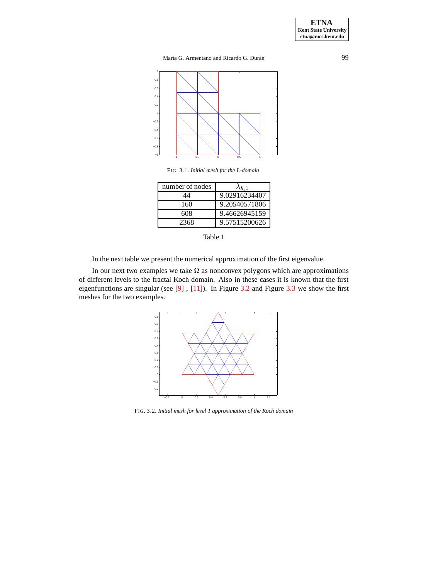**ETNA Kent State University etna@mcs.kent.edu**

María G. Armentano and Ricardo G. Durán



FIG. 3.1. *Initial mesh for the L-domain*

<span id="page-6-0"></span>

| number of nodes | $\lambda_{h,1}$ |
|-----------------|-----------------|
|                 | 9.02916234407   |
| 160             | 9.20540571806   |
| 608             | 9.46626945159   |
| 2368            | 9.57515200626   |



In the next table we present the numerical approximation of the first eigenvalue.

In our next two examples we take  $\Omega$  as nonconvex polygons which are approximations of different levels to the fractal Koch domain. Also in these cases it is known that the first eigenfunctions are singular (see [\[9\]](#page-7-9) , [\[11\]](#page-7-10)). In Figure [3.2](#page-6-1) and Figure [3.3](#page-7-11) we show the first meshes for the two examples.



<span id="page-6-1"></span>FIG. 3.2. *Initial mesh for level 1 approximation of the Koch domain*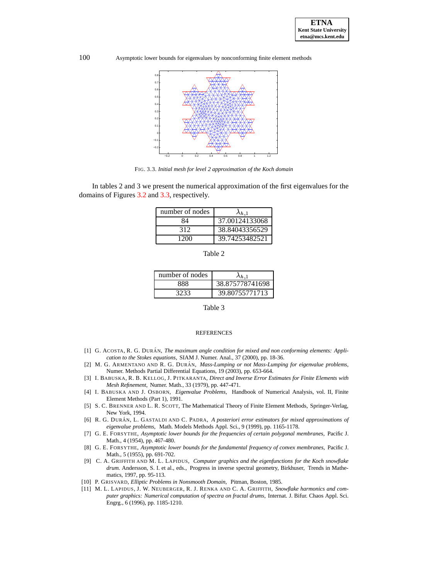



<span id="page-7-11"></span>FIG. 3.3. *Initial mesh for level 2 approximation of the Koch domain*

In tables 2 and 3 we present the numerical approximation of the first eigenvalues for the domains of Figures [3.2](#page-6-1) and [3.3,](#page-7-11) respectively.

| number of nodes | $\lambda_{h.1}$ |
|-----------------|-----------------|
| 84              | 37.00124133068  |
| 312             | 38.84043356529  |
| 1200            | 39.74253482521  |

| number of nodes | $\lambda_{h}$ 1 |
|-----------------|-----------------|
| ≺хх             | 38.875778741698 |
| 3233            | 39.80755771713  |

#### Table 3

#### REFERENCES

- <span id="page-7-6"></span>[1] G. ACOSTA, R. G. DURÁN, *The maximum angle condition for mixed and non conforming elements: Application to the Stokes equations*, SIAM J. Numer. Anal., 37 (2000), pp. 18-36.
- <span id="page-7-4"></span><span id="page-7-3"></span>[2] M. G. ARMENTANO AND R. G. DURÁN, *Mass-Lumping or not Mass-Lumping for eigenvalue problems*, Numer. Methods Partial Differential Equations, 19 (2003), pp. 653-664.
- [3] I. BABUSKA, R. B. KELLOG, J. PITKARANTA, *Direct and Inverse Error Estimates for Finite Elements with Mesh Refinement*, Numer. Math., 33 (1979), pp. 447-471.
- <span id="page-7-0"></span>[4] I. BABUSKA AND J. OSBORN, *Eigenvalue Problems*, Handbook of Numerical Analysis, vol. II, Finite Element Methods (Part 1), 1991.
- <span id="page-7-5"></span>[5] S. C. BRENNER AND L. R. SCOTT, The Mathematical Theory of Finite Element Methods, Springer-Verlag, New York, 1994.
- <span id="page-7-7"></span>[6] R. G. DURA´ N, L. GASTALDI AND C. PADRA, *A posteriori error estimators for mixed approximations of eigenvalue problems*, Math. Models Methods Appl. Sci., 9 (1999), pp. 1165-1178.
- <span id="page-7-1"></span>[7] G. E. FORSYTHE, *Asymptotic lower bounds for the frequencies of certain polygonal membranes*, Pacific J. Math., 4 (1954), pp. 467-480.
- <span id="page-7-2"></span>[8] G. E. FORSYTHE, *Asymptotic lower bounds for the fundamental frequency of convex membranes*, Pacific J. Math., 5 (1955), pp. 691-702.
- <span id="page-7-9"></span>[9] C. A. GRIFFITH AND M. L. LAPIDUS, *Computer graphics and the eigenfunctions for the Koch snowflake drum.* Andersson, S. I. et al., eds., Progress in inverse spectral geometry, Birkhuser, Trends in Mathematics, 1997, pp. 95-113.
- <span id="page-7-8"></span>[10] P. GRISVARD, *Elliptic Problems in Nonsmooth Domain*, Pitman, Boston, 1985.
- <span id="page-7-10"></span>[11] M. L. LAPIDUS, J. W. NEUBERGER, R. J. RENKA AND C. A. GRIFFITH, *Snowflake harmonics and computer graphics: Numerical computation of spectra on fractal drums*, Internat. J. Bifur. Chaos Appl. Sci. Engrg., 6 (1996), pp. 1185-1210.